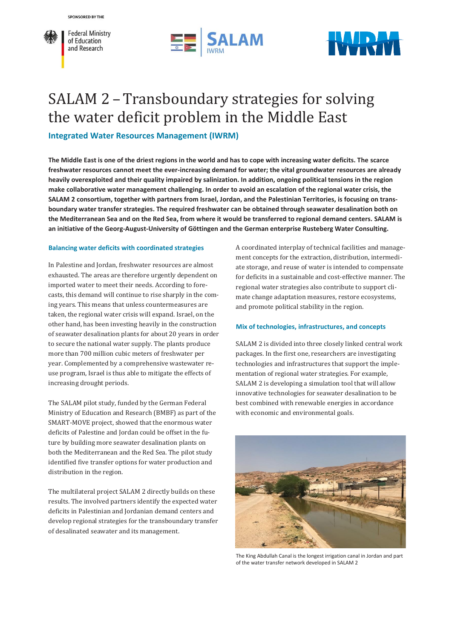





# SALAM 2 – Transboundary strategies for solving the water deficit problem in the Middle East

**Integrated Water Resources Management (IWRM)**

**The Middle East is one of the driest regions in the world and has to cope with increasing water deficits. The scarce freshwater resources cannot meet the ever-increasing demand for water; the vital groundwater resources are already heavily overexploited and their quality impaired by salinization. In addition, ongoing political tensions in the region make collaborative water management challenging. In order to avoid an escalation of the regional water crisis, the SALAM 2 consortium, together with partners from Israel, Jordan, and the Palestinian Territories, is focusing on transboundary water transfer strategies. The required freshwater can be obtained through seawater desalination both on the Mediterranean Sea and on the Red Sea, from where it would be transferred to regional demand centers. SALAM is an initiative of the Georg-August-University of Göttingen and the German enterprise Rusteberg Water Consulting.**

# **Balancing water deficits with coordinated strategies**

In Palestine and Jordan, freshwater resources are almost exhausted. The areas are therefore urgently dependent on imported water to meet their needs. According to forecasts, this demand will continue to rise sharply in the coming years. This means that unless countermeasures are taken, the regional water crisis will expand. Israel, on the other hand, has been investing heavily in the construction of seawater desalination plants for about 20 years in order to secure the national water supply. The plants produce more than 700 million cubic meters of freshwater per year. Complemented by a comprehensive wastewater reuse program, Israel is thus able to mitigate the effects of increasing drought periods.

The SALAM pilot study, funded by the German Federal Ministry of Education and Research (BMBF) as part of the SMART-MOVE project, showed that the enormous water deficits of Palestine and Jordan could be offset in the future by building more seawater desalination plants on both the Mediterranean and the Red Sea. The pilot study identified five transfer options for water production and distribution in the region.

The multilateral project SALAM 2 directly builds on these results. The involved partners identify the expected water deficits in Palestinian and Jordanian demand centers and develop regional strategies for the transboundary transfer of desalinated seawater and its management.

A coordinated interplay of technical facilities and management concepts for the extraction, distribution, intermediate storage, and reuse of water is intended to compensate for deficits in a sustainable and cost-effective manner. The regional water strategies also contribute to support climate change adaptation measures, restore ecosystems, and promote political stability in the region.

# **Mix of technologies, infrastructures, and concepts**

SALAM 2 is divided into three closely linked central work packages. In the first one, researchers are investigating technologies and infrastructures that support the implementation of regional water strategies. For example, SALAM 2 is developing a simulation tool that will allow innovative technologies for seawater desalination to be best combined with renewable energies in accordance with economic and environmental goals.



The King Abdullah Canal is the longest irrigation canal in Jordan and part of the water transfer network developed in SALAM 2